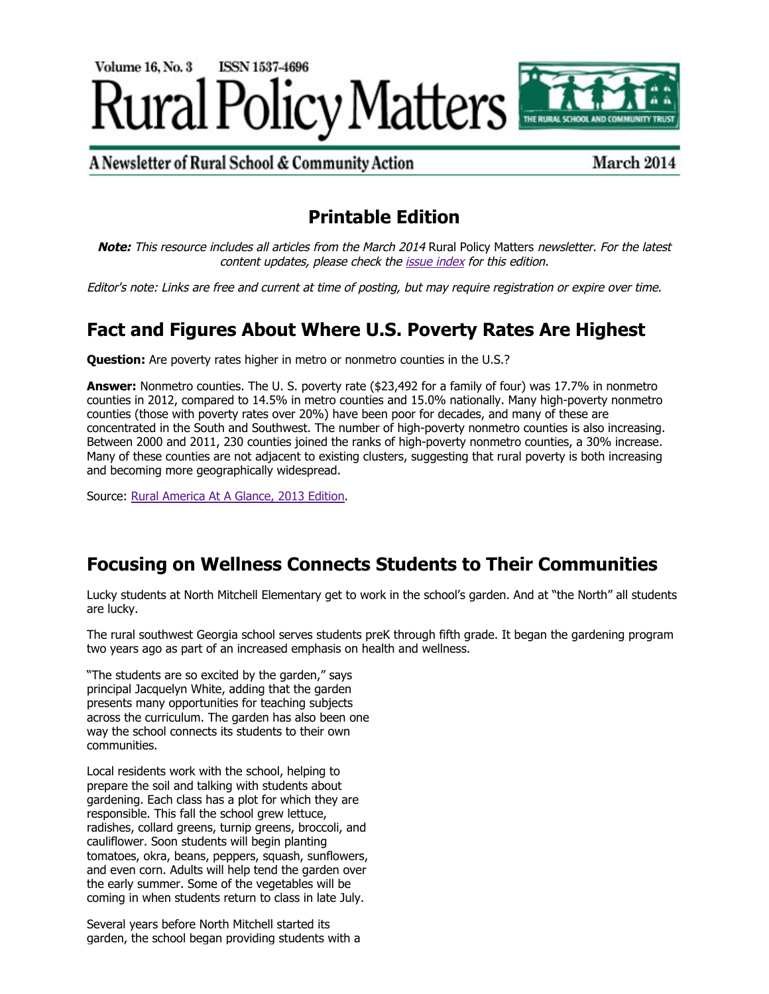

A Newsletter of Rural School & Community Action

March 2014

# **Printable Edition**

**Note:** This resource includes all articles from the March 2014 Rural Policy Matters newsletter. For the latest content updates, please check the [issue index](http://www.ruraledu.org/articles.php?id=3155) for this edition.

Editor's note: Links are free and current at time of posting, but may require registration or expire over time.

# **Fact and Figures About Where U.S. Poverty Rates Are Highest**

**Question:** Are poverty rates higher in metro or nonmetro counties in the U.S.?

**Answer:** Nonmetro counties. The U. S. poverty rate (\$23,492 for a family of four) was 17.7% in nonmetro counties in 2012, compared to 14.5% in metro counties and 15.0% nationally. Many high-poverty nonmetro counties (those with poverty rates over 20%) have been poor for decades, and many of these are concentrated in the South and Southwest. The number of high-poverty nonmetro counties is also increasing. Between 2000 and 2011, 230 counties joined the ranks of high-poverty nonmetro counties, a 30% increase. Many of these counties are not adjacent to existing clusters, suggesting that rural poverty is both increasing and becoming more geographically widespread.

Source: [Rural America At A Glance, 2013 Edition.](http://www.ers.usda.gov/publications/eb-economic-brief/eb24.aspx)

# **Focusing on Wellness Connects Students to Their Communities**

Lucky students at North Mitchell Elementary get to work in the school's garden. And at "the North" all students are lucky.

The rural southwest Georgia school serves students preK through fifth grade. It began the gardening program two years ago as part of an increased emphasis on health and wellness.

"The students are so excited by the garden," says principal Jacquelyn White, adding that the garden presents many opportunities for teaching subjects across the curriculum. The garden has also been one way the school connects its students to their own communities.

Local residents work with the school, helping to prepare the soil and talking with students about gardening. Each class has a plot for which they are responsible. This fall the school grew lettuce, radishes, collard greens, turnip greens, broccoli, and cauliflower. Soon students will begin planting tomatoes, okra, beans, peppers, squash, sunflowers, and even corn. Adults will help tend the garden over the early summer. Some of the vegetables will be coming in when students return to class in late July.

Several years before North Mitchell started its garden, the school began providing students with a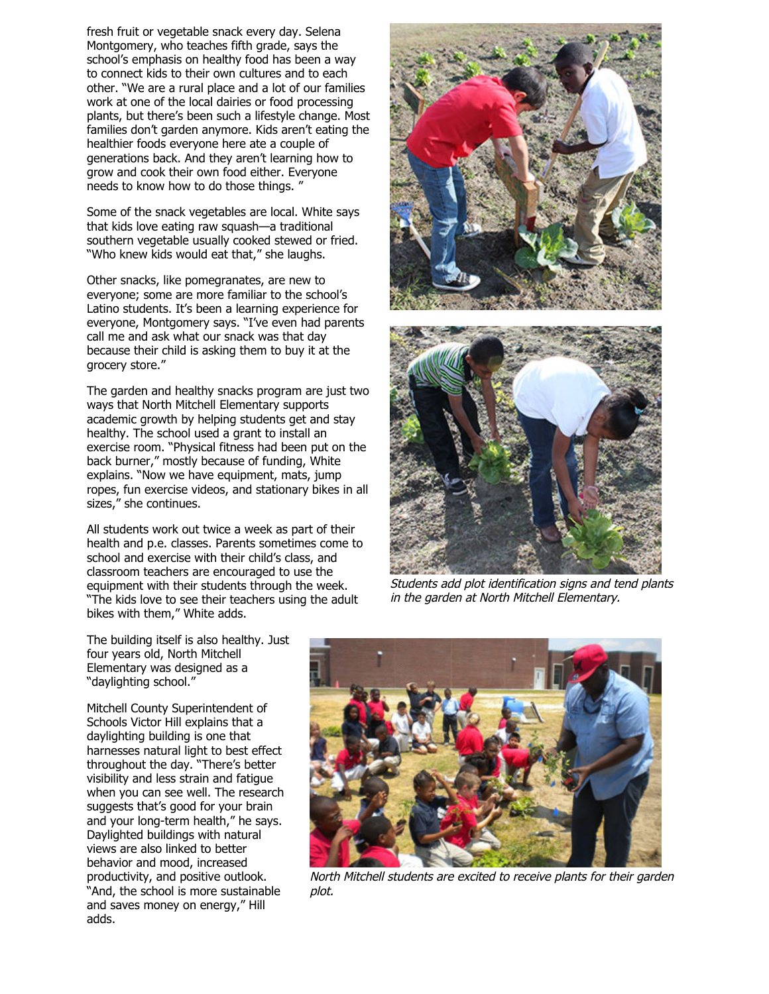fresh fruit or vegetable snack every day. Selena Montgomery, who teaches fifth grade, says the school's emphasis on healthy food has been a way to connect kids to their own cultures and to each other. "We are a rural place and a lot of our families work at one of the local dairies or food processing plants, but there's been such a lifestyle change. Most families don't garden anymore. Kids aren't eating the healthier foods everyone here ate a couple of generations back. And they aren't learning how to grow and cook their own food either. Everyone needs to know how to do those things. "

Some of the snack vegetables are local. White says that kids love eating raw squash—a traditional southern vegetable usually cooked stewed or fried. "Who knew kids would eat that," she laughs.

Other snacks, like pomegranates, are new to everyone; some are more familiar to the school's Latino students. It's been a learning experience for everyone, Montgomery says. "I've even had parents call me and ask what our snack was that day because their child is asking them to buy it at the grocery store."

The garden and healthy snacks program are just two ways that North Mitchell Elementary supports academic growth by helping students get and stay healthy. The school used a grant to install an exercise room. "Physical fitness had been put on the back burner," mostly because of funding, White explains. "Now we have equipment, mats, jump ropes, fun exercise videos, and stationary bikes in all sizes," she continues.

All students work out twice a week as part of their health and p.e. classes. Parents sometimes come to school and exercise with their child's class, and classroom teachers are encouraged to use the equipment with their students through the week. "The kids love to see their teachers using the adult bikes with them," White adds.





Students add plot identification signs and tend plants in the garden at North Mitchell Elementary.

The building itself is also healthy. Just four years old, North Mitchell Elementary was designed as a "daylighting school."

Mitchell County Superintendent of Schools Victor Hill explains that a daylighting building is one that harnesses natural light to best effect throughout the day. "There's better visibility and less strain and fatigue when you can see well. The research suggests that's good for your brain and your long-term health," he says. Daylighted buildings with natural views are also linked to better behavior and mood, increased productivity, and positive outlook. "And, the school is more sustainable and saves money on energy," Hill adds.



North Mitchell students are excited to receive plants for their garden plot.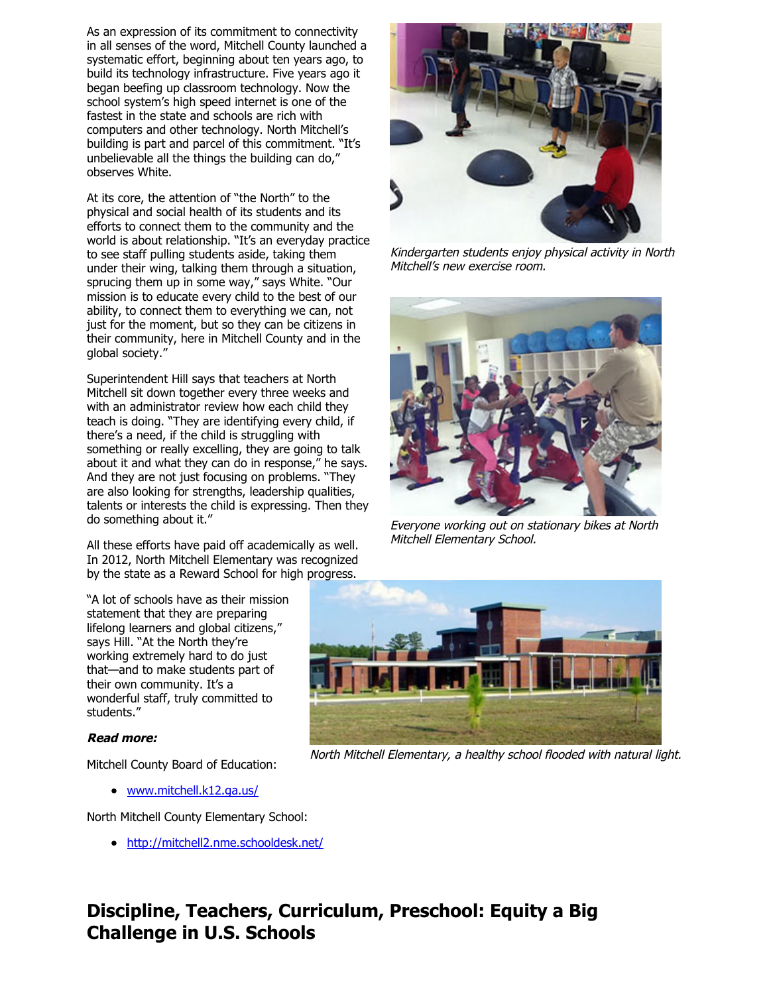As an expression of its commitment to connectivity in all senses of the word, Mitchell County launched a systematic effort, beginning about ten years ago, to build its technology infrastructure. Five years ago it began beefing up classroom technology. Now the school system's high speed internet is one of the fastest in the state and schools are rich with computers and other technology. North Mitchell's building is part and parcel of this commitment. "It's unbelievable all the things the building can do," observes White.

At its core, the attention of "the North" to the physical and social health of its students and its efforts to connect them to the community and the world is about relationship. "It's an everyday practice to see staff pulling students aside, taking them under their wing, talking them through a situation, sprucing them up in some way," says White. "Our mission is to educate every child to the best of our ability, to connect them to everything we can, not just for the moment, but so they can be citizens in their community, here in Mitchell County and in the global society."

Superintendent Hill says that teachers at North Mitchell sit down together every three weeks and with an administrator review how each child they teach is doing. "They are identifying every child, if there's a need, if the child is struggling with something or really excelling, they are going to talk about it and what they can do in response," he says. And they are not just focusing on problems. "They are also looking for strengths, leadership qualities, talents or interests the child is expressing. Then they do something about it."

All these efforts have paid off academically as well. In 2012, North Mitchell Elementary was recognized by the state as a Reward School for high progress.

"A lot of schools have as their mission statement that they are preparing lifelong learners and global citizens," says Hill. "At the North they're working extremely hard to do just that—and to make students part of their own community. It's a wonderful staff, truly committed to students."

# **Read more:**

Mitchell County Board of Education:

[www.mitchell.k12.ga.us/](http://www.mitchell.k12.ga.us/)

North Mitchell County Elementary School:

<http://mitchell2.nme.schooldesk.net/>

Kindergarten students enjoy physical activity in North Mitchell's new exercise room.



Everyone working out on stationary bikes at North Mitchell Elementary School.



North Mitchell Elementary, a healthy school flooded with natural light.

# **Discipline, Teachers, Curriculum, Preschool: Equity a Big Challenge in U.S. Schools**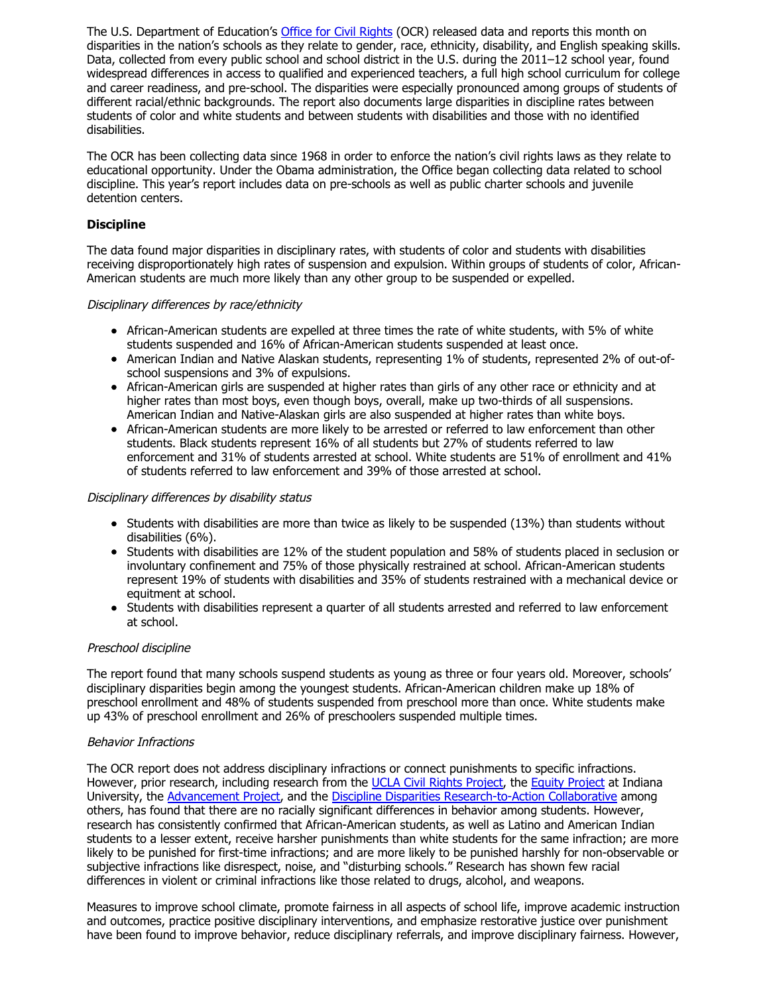The U.S. Department of Education's [Office for Civil Rights](http://www2.ed.gov/about/offices/list/ocr/data.html?src=rt/) (OCR) released data and reports this month on disparities in the nation's schools as they relate to gender, race, ethnicity, disability, and English speaking skills. Data, collected from every public school and school district in the U.S. during the 2011–12 school year, found widespread differences in access to qualified and experienced teachers, a full high school curriculum for college and career readiness, and pre-school. The disparities were especially pronounced among groups of students of different racial/ethnic backgrounds. The report also documents large disparities in discipline rates between students of color and white students and between students with disabilities and those with no identified disabilities.

The OCR has been collecting data since 1968 in order to enforce the nation's civil rights laws as they relate to educational opportunity. Under the Obama administration, the Office began collecting data related to school discipline. This year's report includes data on pre-schools as well as public charter schools and juvenile detention centers.

# **Discipline**

The data found major disparities in disciplinary rates, with students of color and students with disabilities receiving disproportionately high rates of suspension and expulsion. Within groups of students of color, African-American students are much more likely than any other group to be suspended or expelled.

## Disciplinary differences by race/ethnicity

- African-American students are expelled at three times the rate of white students, with 5% of white students suspended and 16% of African-American students suspended at least once.
- American Indian and Native Alaskan students, representing 1% of students, represented 2% of out-ofschool suspensions and 3% of expulsions.
- African-American girls are suspended at higher rates than girls of any other race or ethnicity and at higher rates than most boys, even though boys, overall, make up two-thirds of all suspensions. American Indian and Native-Alaskan girls are also suspended at higher rates than white boys.
- African-American students are more likely to be arrested or referred to law enforcement than other students. Black students represent 16% of all students but 27% of students referred to law enforcement and 31% of students arrested at school. White students are 51% of enrollment and 41% of students referred to law enforcement and 39% of those arrested at school.

## Disciplinary differences by disability status

- Students with disabilities are more than twice as likely to be suspended (13%) than students without disabilities (6%).
- Students with disabilities are 12% of the student population and 58% of students placed in seclusion or involuntary confinement and 75% of those physically restrained at school. African-American students represent 19% of students with disabilities and 35% of students restrained with a mechanical device or equitment at school.
- Students with disabilities represent a quarter of all students arrested and referred to law enforcement at school.

## Preschool discipline

The report found that many schools suspend students as young as three or four years old. Moreover, schools' disciplinary disparities begin among the youngest students. African-American children make up 18% of preschool enrollment and 48% of students suspended from preschool more than once. White students make up 43% of preschool enrollment and 26% of preschoolers suspended multiple times.

## Behavior Infractions

The OCR report does not address disciplinary infractions or connect punishments to specific infractions. However, prior research, including research from the [UCLA Civil Rights Project,](http://civilrightsproject.ucla.edu/events/2013/summary-of-new-research-closing-the-school-discipline-gap-research-to-policy/Research_Summary_Closing_the_School_Discipline_Gap.pdf) the [Equity Project](http://www.indiana.edu/~atlantic/wp-content/uploads/2014/03/African-American-Differential-Behavior_031214.pdf) at Indiana University, the [Advancement Project,](http://www.advancementproject.org/issues/stopping-the-school-to-prison-pipeline) and the [Discipline Disparities Research-to-Action Collaborative](http://www.indiana.edu/~atlantic/) among others, has found that there are no racially significant differences in behavior among students. However, research has consistently confirmed that African-American students, as well as Latino and American Indian students to a lesser extent, receive harsher punishments than white students for the same infraction; are more likely to be punished for first-time infractions; and are more likely to be punished harshly for non-observable or subjective infractions like disrespect, noise, and "disturbing schools." Research has shown few racial differences in violent or criminal infractions like those related to drugs, alcohol, and weapons.

Measures to improve school climate, promote fairness in all aspects of school life, improve academic instruction and outcomes, practice positive disciplinary interventions, and emphasize restorative justice over punishment have been found to improve behavior, reduce disciplinary referrals, and improve disciplinary fairness. However,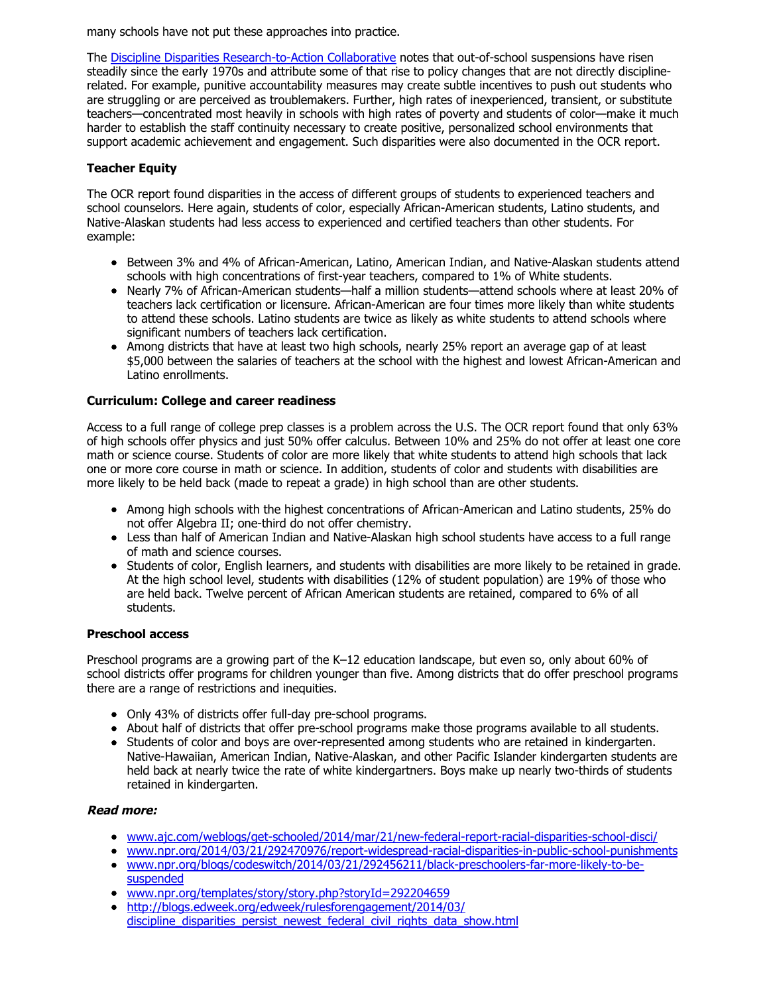many schools have not put these approaches into practice.

The [Discipline Disparities Research-to-Action Collaborative](http://www.indiana.edu/~atlantic/) notes that out-of-school suspensions have risen steadily since the early 1970s and attribute some of that rise to policy changes that are not directly disciplinerelated. For example, punitive accountability measures may create subtle incentives to push out students who are struggling or are perceived as troublemakers. Further, high rates of inexperienced, transient, or substitute teachers—concentrated most heavily in schools with high rates of poverty and students of color—make it much harder to establish the staff continuity necessary to create positive, personalized school environments that support academic achievement and engagement. Such disparities were also documented in the OCR report.

# **Teacher Equity**

The OCR report found disparities in the access of different groups of students to experienced teachers and school counselors. Here again, students of color, especially African-American students, Latino students, and Native-Alaskan students had less access to experienced and certified teachers than other students. For example:

- Between 3% and 4% of African-American, Latino, American Indian, and Native-Alaskan students attend schools with high concentrations of first-year teachers, compared to 1% of White students.
- Nearly 7% of African-American students—half a million students—attend schools where at least 20% of teachers lack certification or licensure. African-American are four times more likely than white students to attend these schools. Latino students are twice as likely as white students to attend schools where significant numbers of teachers lack certification.
- Among districts that have at least two high schools, nearly 25% report an average gap of at least \$5,000 between the salaries of teachers at the school with the highest and lowest African-American and Latino enrollments.

# **Curriculum: College and career readiness**

Access to a full range of college prep classes is a problem across the U.S. The OCR report found that only 63% of high schools offer physics and just 50% offer calculus. Between 10% and 25% do not offer at least one core math or science course. Students of color are more likely that white students to attend high schools that lack one or more core course in math or science. In addition, students of color and students with disabilities are more likely to be held back (made to repeat a grade) in high school than are other students.

- Among high schools with the highest concentrations of African-American and Latino students, 25% do not offer Algebra II; one-third do not offer chemistry.
- Less than half of American Indian and Native-Alaskan high school students have access to a full range of math and science courses.
- Students of color, English learners, and students with disabilities are more likely to be retained in grade. At the high school level, students with disabilities (12% of student population) are 19% of those who are held back. Twelve percent of African American students are retained, compared to 6% of all students.

# **Preschool access**

Preschool programs are a growing part of the K–12 education landscape, but even so, only about 60% of school districts offer programs for children younger than five. Among districts that do offer preschool programs there are a range of restrictions and inequities.

- Only 43% of districts offer full-day pre-school programs.
- About half of districts that offer pre-school programs make those programs available to all students.
- Students of color and boys are over-represented among students who are retained in kindergarten. Native-Hawaiian, American Indian, Native-Alaskan, and other Pacific Islander kindergarten students are held back at nearly twice the rate of white kindergartners. Boys make up nearly two-thirds of students retained in kindergarten.

# **Read more:**

- [www.ajc.com/weblogs/get-schooled/2014/mar/21/new-federal-report-racial-disparities-school-disci/](http://www.ajc.com/weblogs/get-schooled/2014/mar/21/new-federal-report-racial-disparities-school-disci/)
- [www.npr.org/2014/03/21/292470976/report-widespread-racial-disparities-in-public-school-punishments](http://www.npr.org/2014/03/21/292470976/report-widespread-racial-disparities-in-public-school-punishments) [www.npr.org/blogs/codeswitch/2014/03/21/292456211/black-preschoolers-far-more-likely-to-be-](http://www.npr.org/blogs/codeswitch/2014/03/21/292456211/black-preschoolers-far-more-likely-to-be-suspended)
- suspended [www.npr.org/templates/story/story.php?storyId=292204659](http://www.npr.org/templates/story/story.php?storyId=292204659)  $\bullet$
- http://blogs.edweek.org/edweek/rulesforengagement/2014/03/
- [discipline\\_disparities\\_persist\\_newest\\_federal\\_civil\\_rights\\_data\\_show.html](http://blogs.edweek.org/edweek/rulesforengagement/2014/03/discipline_disparities_persist_newest_federal_civil_rights_data_show.html)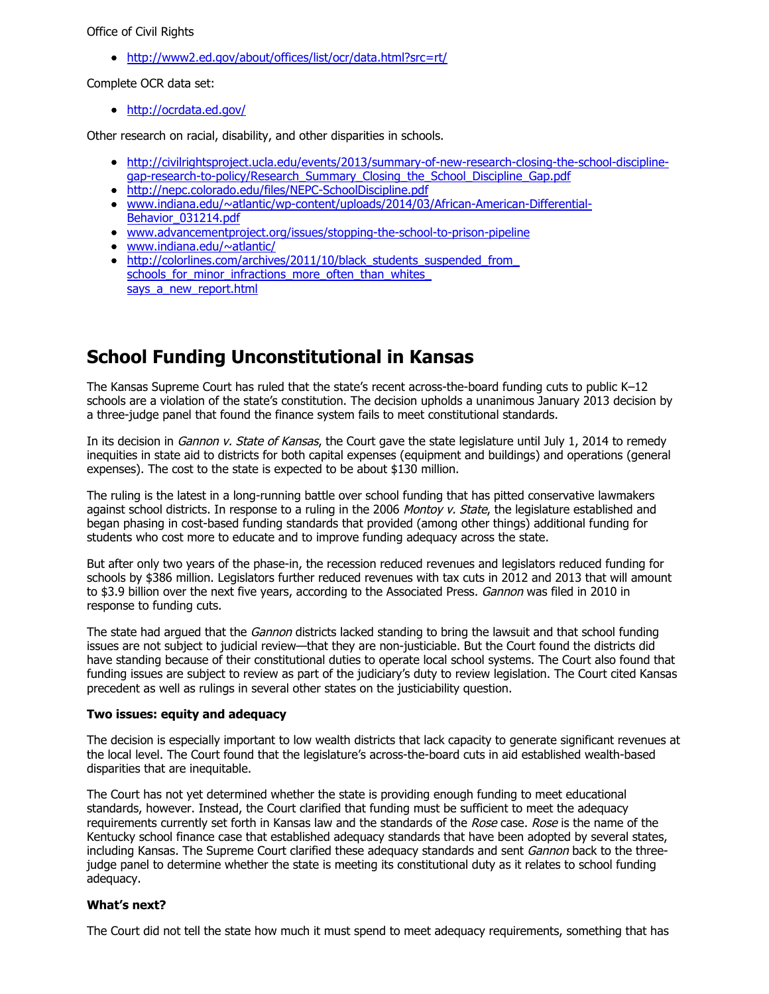#### Office of Civil Rights

<http://www2.ed.gov/about/offices/list/ocr/data.html?src=rt/>

Complete OCR data set:

<http://ocrdata.ed.gov/>

Other research on racial, disability, and other disparities in schools.

- [http://civilrightsproject.ucla.edu/events/2013/summary-of-new-research-closing-the-school-discipline](http://civilrightsproject.ucla.edu/events/2013/summary-of-new-research-closing-the-school-discipline-gap-research-to-policy/Research_Summary_Closing_the_School_Discipline_Gap.pdf)gap-research-to-policy/Research\_Summary\_Closing\_the\_School\_Discipline\_Gap.pdf
- <http://nepc.colorado.edu/files/NEPC-SchoolDiscipline.pdf>
- [www.indiana.edu/~atlantic/wp-content/uploads/2014/03/African-American-Differential-](http://www.indiana.edu/~atlantic/wp-content/uploads/2014/03/African-American-Differential-Behavior_031214.pdf)Behavior\_031214.pdf
- [www.advancementproject.org/issues/stopping-the-school-to-prison-pipeline](http://www.advancementproject.org/issues/stopping-the-school-to-prison-pipeline)
- [www.indiana.edu/~atlantic/](http://www.indiana.edu/~atlantic/)
- http://colorlines.com/archives/2011/10/black\_students\_suspended\_from  $\bullet$ schools for minor infractions more often than whites says a new report.html

# **School Funding Unconstitutional in Kansas**

The Kansas Supreme Court has ruled that the state's recent across-the-board funding cuts to public K–12 schools are a violation of the state's constitution. The decision upholds a unanimous January 2013 decision by a three-judge panel that found the finance system fails to meet constitutional standards.

In its decision in *Gannon v. State of Kansas*, the Court gave the state legislature until July 1, 2014 to remedy inequities in state aid to districts for both capital expenses (equipment and buildings) and operations (general expenses). The cost to the state is expected to be about \$130 million.

The ruling is the latest in a long-running battle over school funding that has pitted conservative lawmakers against school districts. In response to a ruling in the 2006 Montoy v. State, the legislature established and began phasing in cost-based funding standards that provided (among other things) additional funding for students who cost more to educate and to improve funding adequacy across the state.

But after only two years of the phase-in, the recession reduced revenues and legislators reduced funding for schools by \$386 million. Legislators further reduced revenues with tax cuts in 2012 and 2013 that will amount to \$3.9 billion over the next five years, according to the Associated Press. Gannon was filed in 2010 in response to funding cuts.

The state had argued that the *Gannon* districts lacked standing to bring the lawsuit and that school funding issues are not subject to judicial review—that they are non-justiciable. But the Court found the districts did have standing because of their constitutional duties to operate local school systems. The Court also found that funding issues are subject to review as part of the judiciary's duty to review legislation. The Court cited Kansas precedent as well as rulings in several other states on the justiciability question.

## **Two issues: equity and adequacy**

The decision is especially important to low wealth districts that lack capacity to generate significant revenues at the local level. The Court found that the legislature's across-the-board cuts in aid established wealth-based disparities that are inequitable.

The Court has not yet determined whether the state is providing enough funding to meet educational standards, however. Instead, the Court clarified that funding must be sufficient to meet the adequacy requirements currently set forth in Kansas law and the standards of the Rose case. Rose is the name of the Kentucky school finance case that established adequacy standards that have been adopted by several states, including Kansas. The Supreme Court clarified these adequacy standards and sent Gannon back to the threejudge panel to determine whether the state is meeting its constitutional duty as it relates to school funding adequacy.

#### **What's next?**

The Court did not tell the state how much it must spend to meet adequacy requirements, something that has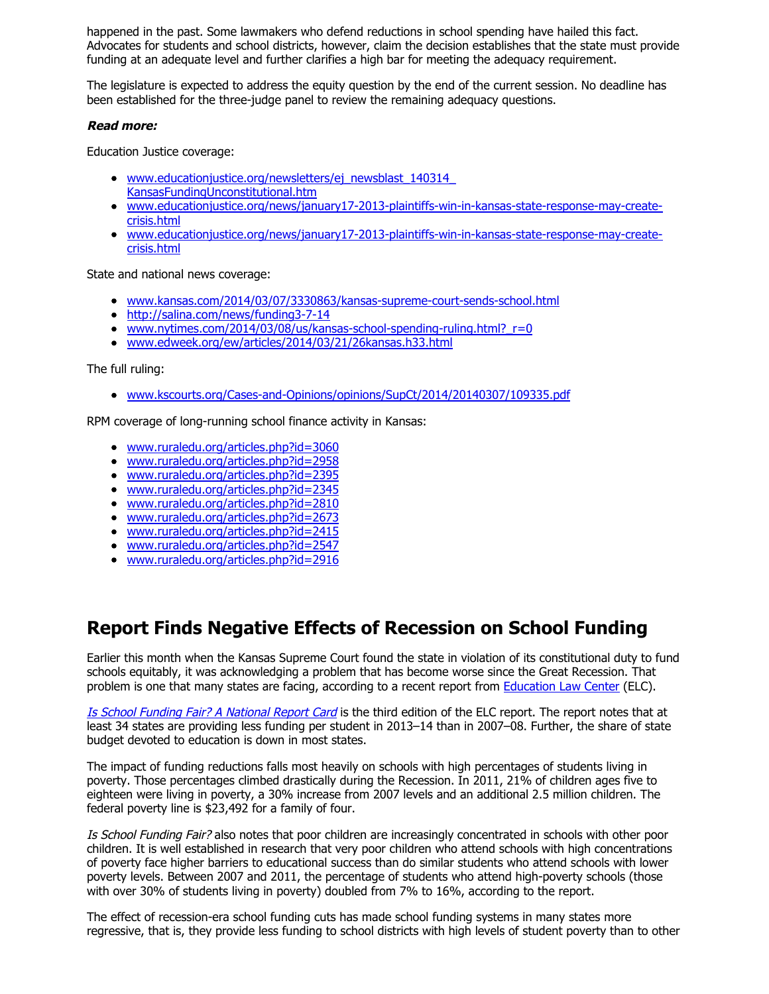happened in the past. Some lawmakers who defend reductions in school spending have hailed this fact. Advocates for students and school districts, however, claim the decision establishes that the state must provide funding at an adequate level and further clarifies a high bar for meeting the adequacy requirement.

The legislature is expected to address the equity question by the end of the current session. No deadline has been established for the three-judge panel to review the remaining adequacy questions.

## **Read more:**

Education Justice coverage:

- [www.educationjustice.org/newsletters/ej\\_newsblast\\_140314\\_](http://www.educationjustice.org/newsletters/ej_newsblast_140314_KansasFundingUnconstitutional.htm) KansasFundingUnconstitutional.htm
- [www.educationjustice.org/news/january17-2013-plaintiffs-win-in-kansas-state-response-may-create](http://www.educationjustice.org/news/january17-2013-plaintiffs-win-in-kansas-state-response-may-create-crisis.html)crisis.html
- [www.educationjustice.org/news/january17-2013-plaintiffs-win-in-kansas-state-response-may-create](http://www.educationjustice.org/news/january17-2013-plaintiffs-win-in-kansas-state-response-may-create-crisis.html)crisis.html

State and national news coverage:

- [www.kansas.com/2014/03/07/3330863/kansas-supreme-court-sends-school.html](http://www.kansas.com/2014/03/07/3330863/kansas-supreme-court-sends-school.html)
- <http://salina.com/news/funding3-7-14>
- www.nytimes.com/2014/03/08/us/kansas-school-spending-ruling.html?  $r=0$
- [www.edweek.org/ew/articles/2014/03/21/26kansas.h33.html](http://www.edweek.org/ew/articles/2014/03/21/26kansas.h33.html)

The full ruling:

[www.kscourts.org/Cases-and-Opinions/opinions/SupCt/2014/20140307/109335.pdf](http://www.kscourts.org/Cases-and-Opinions/opinions/SupCt/2014/20140307/109335.pdf)

RPM coverage of long-running school finance activity in Kansas:

- [www.ruraledu.org/articles.php?id=3060](http://www.ruraledu.org/articles.php?id=3060)
- [www.ruraledu.org/articles.php?id=2958](http://www.ruraledu.org/articles.php?id=2958)
- [www.ruraledu.org/articles.php?id=2395](http://www.ruraledu.org/articles.php?id=2395)
- [www.ruraledu.org/articles.php?id=2345](http://www.ruraledu.org/articles.php?id=2345)
- [www.ruraledu.org/articles.php?id=2810](http://www.ruraledu.org/articles.php?id=2810)
- [www.ruraledu.org/articles.php?id=2673](http://www.ruraledu.org/articles.php?id=2673)
- [www.ruraledu.org/articles.php?id=2415](http://www.ruraledu.org/articles.php?id=2415)
- [www.ruraledu.org/articles.php?id=2547](http://www.ruraledu.org/articles.php?id=2547)
- [www.ruraledu.org/articles.php?id=2916](http://www.ruraledu.org/articles.php?id=2916)

# **Report Finds Negative Effects of Recession on School Funding**

Earlier this month when the Kansas Supreme Court found the state in violation of its constitutional duty to fund schools equitably, it was acknowledging a problem that has become worse since the Great Recession. That problem is one that many states are facing, according to a recent report from [Education Law Center](http://www.edlawcenter.org/) (ELC).

[Is School Funding Fair? A National Report Card](http://www.edlawcenter.org/assets/files/pdfs/publications/National_Report_Card_2014.pdf) is the third edition of the ELC report. The report notes that at least 34 states are providing less funding per student in 2013–14 than in 2007–08. Further, the share of state budget devoted to education is down in most states.

The impact of funding reductions falls most heavily on schools with high percentages of students living in poverty. Those percentages climbed drastically during the Recession. In 2011, 21% of children ages five to eighteen were living in poverty, a 30% increase from 2007 levels and an additional 2.5 million children. The federal poverty line is \$23,492 for a family of four.

Is School Funding Fair? also notes that poor children are increasingly concentrated in schools with other poor children. It is well established in research that very poor children who attend schools with high concentrations of poverty face higher barriers to educational success than do similar students who attend schools with lower poverty levels. Between 2007 and 2011, the percentage of students who attend high-poverty schools (those with over 30% of students living in poverty) doubled from 7% to 16%, according to the report.

The effect of recession-era school funding cuts has made school funding systems in many states more regressive, that is, they provide less funding to school districts with high levels of student poverty than to other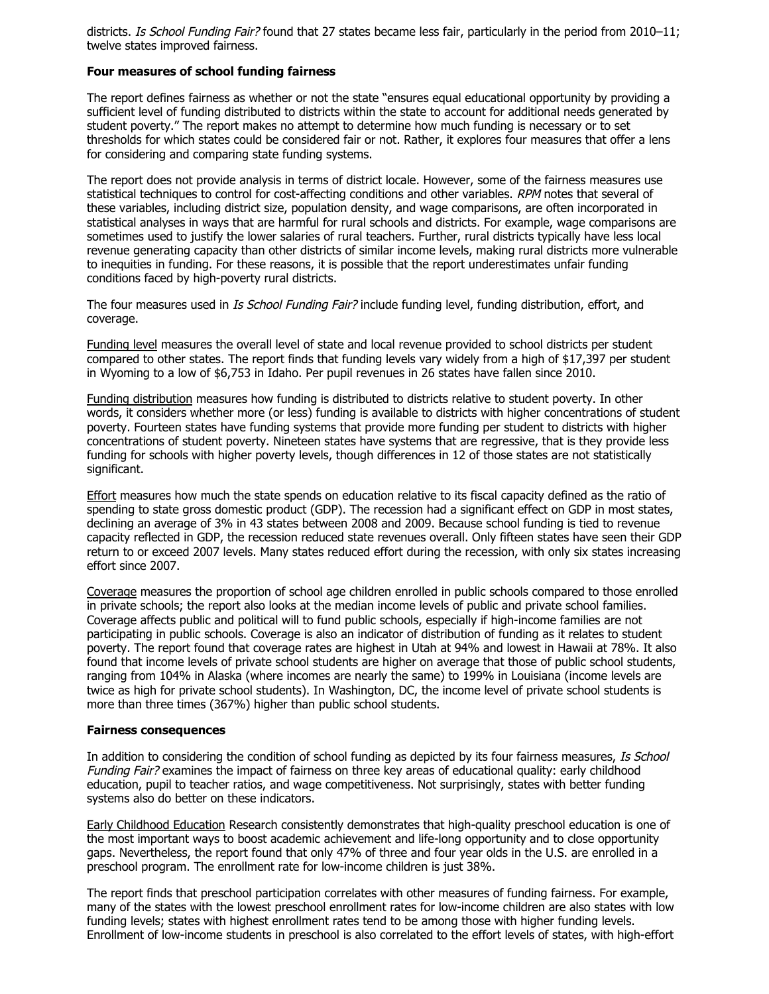districts. Is School Funding Fair? found that 27 states became less fair, particularly in the period from 2010–11; twelve states improved fairness.

## **Four measures of school funding fairness**

The report defines fairness as whether or not the state "ensures equal educational opportunity by providing a sufficient level of funding distributed to districts within the state to account for additional needs generated by student poverty." The report makes no attempt to determine how much funding is necessary or to set thresholds for which states could be considered fair or not. Rather, it explores four measures that offer a lens for considering and comparing state funding systems.

The report does not provide analysis in terms of district locale. However, some of the fairness measures use statistical techniques to control for cost-affecting conditions and other variables. RPM notes that several of these variables, including district size, population density, and wage comparisons, are often incorporated in statistical analyses in ways that are harmful for rural schools and districts. For example, wage comparisons are sometimes used to justify the lower salaries of rural teachers. Further, rural districts typically have less local revenue generating capacity than other districts of similar income levels, making rural districts more vulnerable to inequities in funding. For these reasons, it is possible that the report underestimates unfair funding conditions faced by high-poverty rural districts.

The four measures used in *Is School Funding Fair?* include funding level, funding distribution, effort, and coverage.

Funding level measures the overall level of state and local revenue provided to school districts per student compared to other states. The report finds that funding levels vary widely from a high of \$17,397 per student in Wyoming to a low of \$6,753 in Idaho. Per pupil revenues in 26 states have fallen since 2010.

Funding distribution measures how funding is distributed to districts relative to student poverty. In other words, it considers whether more (or less) funding is available to districts with higher concentrations of student poverty. Fourteen states have funding systems that provide more funding per student to districts with higher concentrations of student poverty. Nineteen states have systems that are regressive, that is they provide less funding for schools with higher poverty levels, though differences in 12 of those states are not statistically significant.

Effort measures how much the state spends on education relative to its fiscal capacity defined as the ratio of spending to state gross domestic product (GDP). The recession had a significant effect on GDP in most states, declining an average of 3% in 43 states between 2008 and 2009. Because school funding is tied to revenue capacity reflected in GDP, the recession reduced state revenues overall. Only fifteen states have seen their GDP return to or exceed 2007 levels. Many states reduced effort during the recession, with only six states increasing effort since 2007.

Coverage measures the proportion of school age children enrolled in public schools compared to those enrolled in private schools; the report also looks at the median income levels of public and private school families. Coverage affects public and political will to fund public schools, especially if high-income families are not participating in public schools. Coverage is also an indicator of distribution of funding as it relates to student poverty. The report found that coverage rates are highest in Utah at 94% and lowest in Hawaii at 78%. It also found that income levels of private school students are higher on average that those of public school students, ranging from 104% in Alaska (where incomes are nearly the same) to 199% in Louisiana (income levels are twice as high for private school students). In Washington, DC, the income level of private school students is more than three times (367%) higher than public school students.

## **Fairness consequences**

In addition to considering the condition of school funding as depicted by its four fairness measures, Is School Funding Fair? examines the impact of fairness on three key areas of educational quality: early childhood education, pupil to teacher ratios, and wage competitiveness. Not surprisingly, states with better funding systems also do better on these indicators.

Early Childhood Education Research consistently demonstrates that high-quality preschool education is one of the most important ways to boost academic achievement and life-long opportunity and to close opportunity gaps. Nevertheless, the report found that only 47% of three and four year olds in the U.S. are enrolled in a preschool program. The enrollment rate for low-income children is just 38%.

The report finds that preschool participation correlates with other measures of funding fairness. For example, many of the states with the lowest preschool enrollment rates for low-income children are also states with low funding levels; states with highest enrollment rates tend to be among those with higher funding levels. Enrollment of low-income students in preschool is also correlated to the effort levels of states, with high-effort